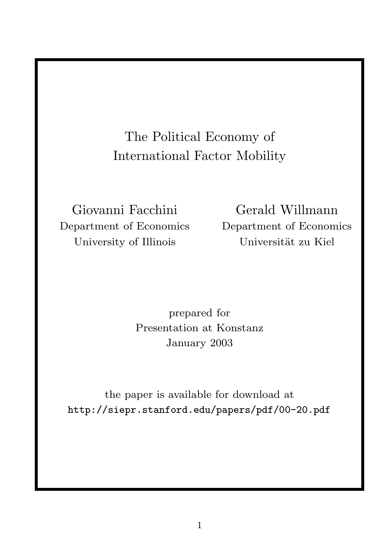The Political Economy of International Factor Mobility

Department of Economics Department of Economics University of Illinois Universität zu Kiel

Giovanni Facchini Gerald Willmann

prepared for Presentation at Konstanz January 2003

the paper is available for download at http://siepr.stanford.edu/papers/pdf/00-20.pdf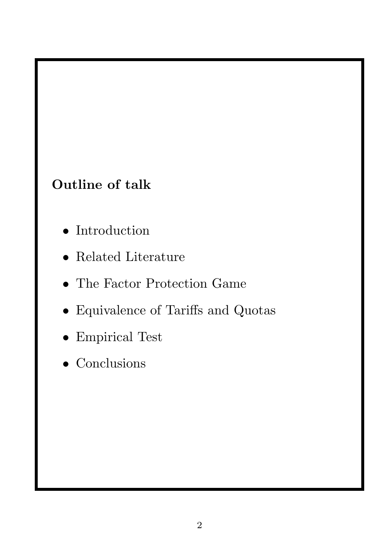### Outline of talk

- Introduction
- Related Literature
- The Factor Protection Game
- Equivalence of Tariffs and Quotas
- Empirical Test
- Conclusions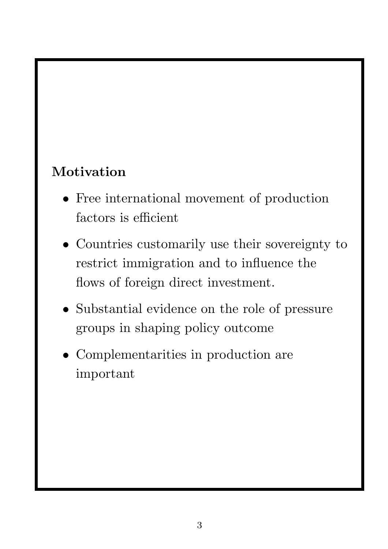## Motivation

- Free international movement of production factors is efficient
- Countries customarily use their sovereignty to restrict immigration and to influence the flows of foreign direct investment.
- Substantial evidence on the role of pressure groups in shaping policy outcome
- Complementarities in production are important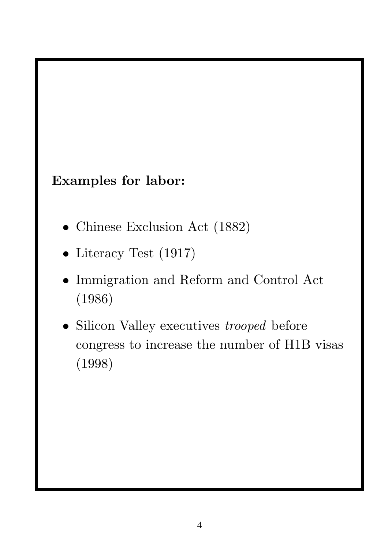### Examples for labor:

- Chinese Exclusion Act (1882)
- Literacy Test (1917)
- Immigration and Reform and Control Act (1986)
- Silicon Valley executives *trooped* before congress to increase the number of H1B visas (1998)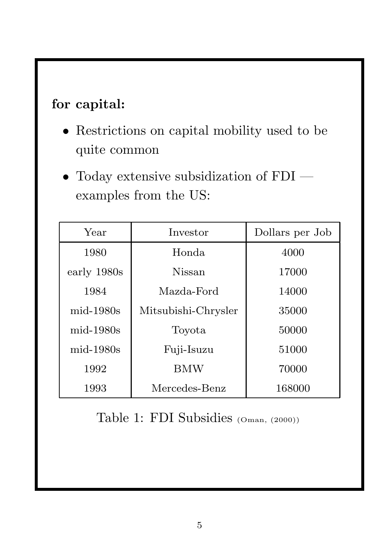### for capital:

- Restrictions on capital mobility used to be quite common
- Today extensive subsidization of FDI examples from the US:

| Year        | Investor            | Dollars per Job |
|-------------|---------------------|-----------------|
| 1980        | Honda               | 4000            |
| early 1980s | Nissan              | 17000           |
| 1984        | Mazda-Ford          | 14000           |
| $mid-1980s$ | Mitsubishi-Chrysler | 35000           |
| $mid-1980s$ | Toyota              | 50000           |
| $mid-1980s$ | Fuji-Isuzu          | 51000           |
| 1992        | <b>BMW</b>          | 70000           |
| 1993        | Mercedes-Benz       | 168000          |

Table 1: FDI Subsidies (Oman, (2000))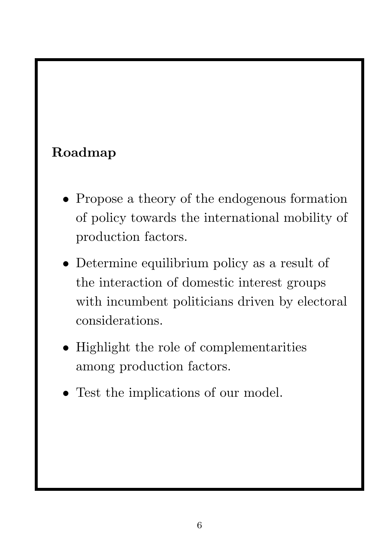## Roadmap

- Propose a theory of the endogenous formation of policy towards the international mobility of production factors.
- Determine equilibrium policy as a result of the interaction of domestic interest groups with incumbent politicians driven by electoral considerations.
- Highlight the role of complementarities among production factors.
- Test the implications of our model.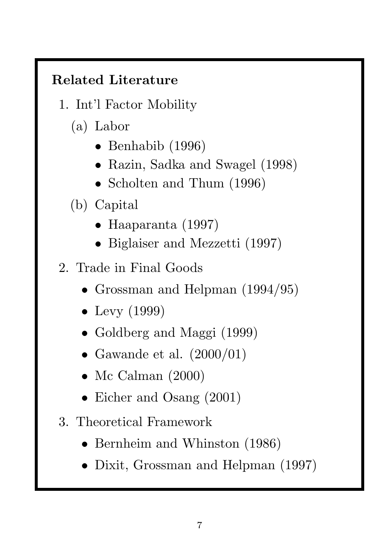# Related Literature

- 1. Int'l Factor Mobility
	- (a) Labor
		- Benhabib (1996)
		- Razin, Sadka and Swagel (1998)
		- Scholten and Thum (1996)
	- (b) Capital
		- Haaparanta (1997)
		- Biglaiser and Mezzetti (1997)
- 2. Trade in Final Goods
	- Grossman and Helpman (1994/95)
	- Levy  $(1999)$
	- Goldberg and Maggi (1999)
	- Gawande et al.  $(2000/01)$
	- Mc Calman (2000)
	- Eicher and Osang (2001)
- 3. Theoretical Framework
	- Bernheim and Whinston (1986)
	- Dixit, Grossman and Helpman (1997)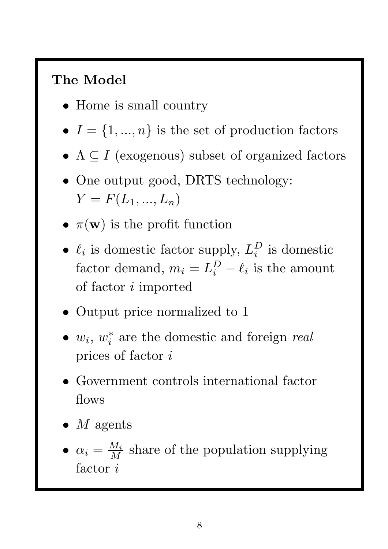## The Model

- Home is small country
- $I = \{1, ..., n\}$  is the set of production factors
- $\Lambda \subseteq I$  (exogenous) subset of organized factors
- One output good, DRTS technology:  $Y = F(L_1, ..., L_n)$
- $\pi(\mathbf{w})$  is the profit function
- $\ell_i$  is domestic factor supply,  $L_i^D$  $i$ <sup>D</sup> is domestic factor demand,  $m_i = L_i^D - \ell_i$  is the amount of factor i imported
- Output price normalized to 1
- $w_i, w_i^*$ i are the domestic and foreign *real* prices of factor i
- Government controls international factor flows
- $M$  agents
- $\alpha_i = \frac{M_i}{M}$  share of the population supplying factor  $i$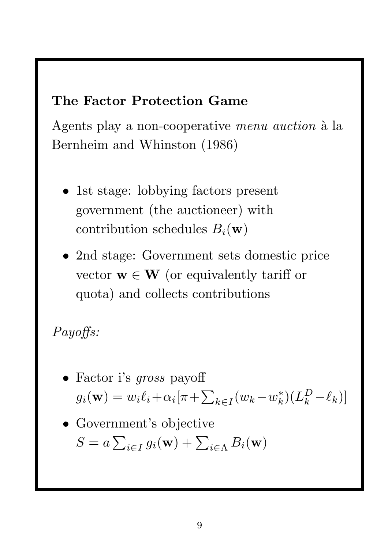#### The Factor Protection Game

Agents play a non-cooperative *menu auction* à la Bernheim and Whinston (1986)

- 1st stage: lobbying factors present government (the auctioneer) with contribution schedules  $B_i(\mathbf{w})$
- 2nd stage: Government sets domestic price vector  $\mathbf{w} \in \mathbf{W}$  (or equivalently tariff or quota) and collects contributions

# *Payoffs:*

- Factor i's *gross* payoff  $g_i(\mathbf{w}) = w_i \ell_i + \alpha_i [\pi + \sum_{k \in I} (w_k - w_k^*)]$  $_{k}^{*})$  $\left( L_{k}^{D}-\ell_{k}\right)$ ]
- Government's objective  $S = a \sum_{i \in I} g_i(\mathbf{w}) + \sum_{i \in \Lambda} B_i(\mathbf{w})$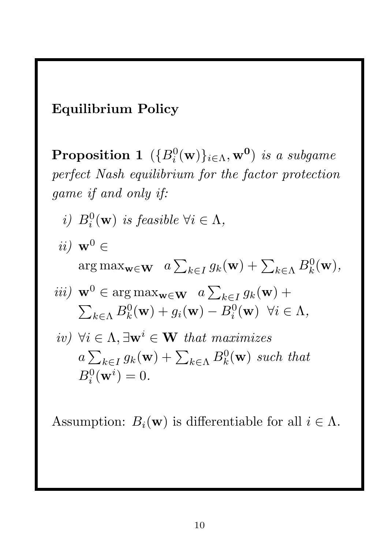#### Equilibrium Policy

 $\bf{Proposition\ 1}\ \left(\{B_i^0(\mathbf{w})\}_{i\in\Lambda},\mathbf{w^0}\right)\ is\ a\ subgame$ *perfect Nash equilibrium for the factor protection game if and only if:*

- *i*)  $B_i^0(\mathbf{w})$  *is feasible*  $\forall i \in \Lambda$ ,
- *ii*)  $\mathbf{w}^0 \in$  $\arg \max_{\mathbf{w} \in \mathbf{W}} \quad a \sum_{k \in I} g_k(\mathbf{w}) + \sum_{k \in \Lambda} B_k^0(\mathbf{w}),$  $\sqrt{2\pi}$

*iii)* 
$$
\mathbf{w}^0 \in \arg \max_{\mathbf{w} \in \mathbf{W}} a \sum_{k \in I} g_k(\mathbf{w}) +
$$
  
 $\sum_{k \in \Lambda} B_k^0(\mathbf{w}) + g_i(\mathbf{w}) - B_i^0(\mathbf{w}) \quad \forall i \in \Lambda,$ 

iv) 
$$
\forall i \in \Lambda, \exists \mathbf{w}^i \in \mathbf{W}
$$
 that maximizes  
\n $a \sum_{k \in I} g_k(\mathbf{w}) + \sum_{k \in \Lambda} B_k^0(\mathbf{w})$  such that  
\n $B_i^0(\mathbf{w}^i) = 0.$ 

Assumption:  $B_i(\mathbf{w})$  is differentiable for all  $i \in \Lambda$ .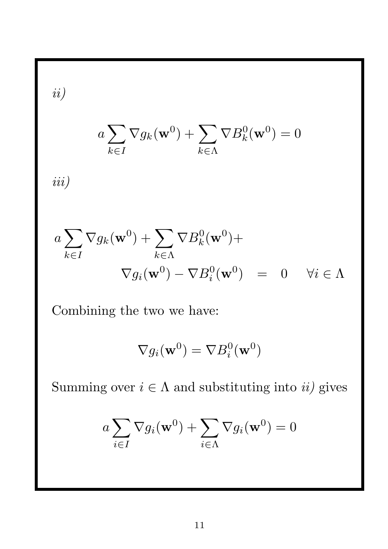*ii)*

$$
a \sum_{k \in I} \nabla g_k(\mathbf{w}^0) + \sum_{k \in \Lambda} \nabla B_k^0(\mathbf{w}^0) = 0
$$

*iii)*

$$
a \sum_{k \in I} \nabla g_k(\mathbf{w}^0) + \sum_{k \in \Lambda} \nabla B_k^0(\mathbf{w}^0) +
$$
  

$$
\nabla g_i(\mathbf{w}^0) - \nabla B_i^0(\mathbf{w}^0) = 0 \quad \forall i \in \Lambda
$$

Combining the two we have:

$$
\nabla g_i(\mathbf{w}^0) = \nabla B_i^0(\mathbf{w}^0)
$$

Summing over  $i \in \Lambda$  and substituting into  $ii$ ) gives

$$
a \sum_{i \in I} \nabla g_i(\mathbf{w}^0) + \sum_{i \in \Lambda} \nabla g_i(\mathbf{w}^0) = 0
$$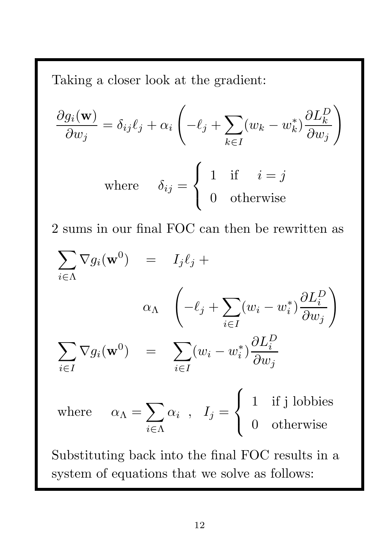Taking a closer look at the gradient:

$$
\frac{\partial g_i(\mathbf{w})}{\partial w_j} = \delta_{ij}\ell_j + \alpha_i \left( -\ell_j + \sum_{k \in I} (w_k - w_k^*) \frac{\partial L_k^D}{\partial w_j} \right)
$$
  
where  $\delta_{ij} = \begin{cases} 1 & \text{if } i = j \\ 0 & \text{otherwise} \end{cases}$ 

2 sums in our final FOC can then be rewritten as

$$
\sum_{i \in \Lambda} \nabla g_i(\mathbf{w}^0) = I_j \ell_j +
$$
\n
$$
\alpha_{\Lambda} \left( -\ell_j + \sum_{i \in I} (w_i - w_i^*) \frac{\partial L_i^D}{\partial w_j} \right)
$$
\n
$$
\sum_{i \in I} \nabla g_i(\mathbf{w}^0) = \sum_{i \in I} (w_i - w_i^*) \frac{\partial L_i^D}{\partial w_j}
$$
\nwhere  $\alpha_{\Lambda} = \sum_{i \in \Lambda} \alpha_i$ ,  $I_j = \begin{cases} 1 & \text{if } j \text{ lobbies} \\ 0 & \text{otherwise} \end{cases}$ 

Substituting back into the final FOC results in a system of equations that we solve as follows: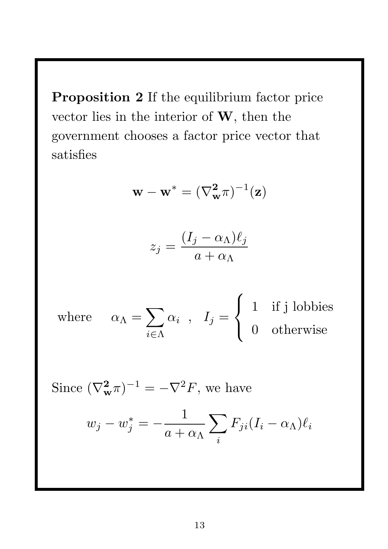Proposition 2 If the equilibrium factor price vector lies in the interior of  $W$ , then the government chooses a factor price vector that satisfies

$$
\mathbf{w} - \mathbf{w}^* = (\nabla_{\mathbf{w}}^2 \pi)^{-1}(\mathbf{z})
$$

$$
z_j = \frac{(I_j - \alpha_\Lambda)\ell_j}{a + \alpha_\Lambda}
$$

where  $\alpha_{\Lambda} = \sum$  $i \in \Lambda$  $\alpha_i$  ,  $I_j =$  $\sqrt{ }$  $\int$  $\overline{\mathcal{L}}$ 1 if j lobbies 0 otherwise

Since  $(\nabla^2_{\mathbf{w}} \pi)^{-1} = -\nabla^2 F$ , we have

$$
w_j - w_j^* = -\frac{1}{a + \alpha \Lambda} \sum_i F_{ji} (I_i - \alpha \Lambda) \ell_i
$$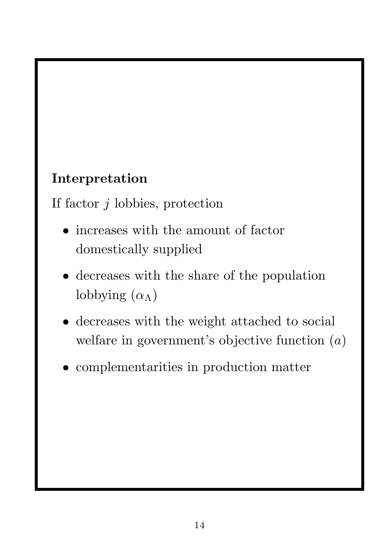## Interpretation

If factor  $j$  lobbies, protection

- increases with the amount of factor domestically supplied
- decreases with the share of the population lobbying  $(\alpha_{\Lambda})$
- decreases with the weight attached to social welfare in government's objective function  $(a)$
- complementarities in production matter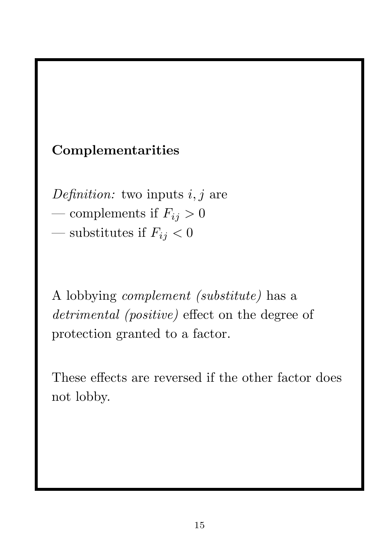### Complementarities

*Definition:* two inputs i, j are

- complements if  $F_{ij} > 0$
- substitutes if  $F_{ij} < 0$

A lobbying *complement (substitute)* has a *detrimental (positive)* effect on the degree of protection granted to a factor.

These effects are reversed if the other factor does not lobby.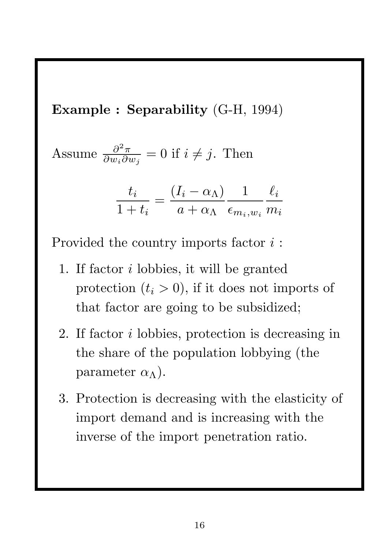Example : Separability (G-H, 1994)

Assume 
$$
\frac{\partial^2 \pi}{\partial w_i \partial w_j} = 0
$$
 if  $i \neq j$ . Then

$$
\frac{t_i}{1+t_i} = \frac{(I_i - \alpha_{\Lambda})}{a + \alpha_{\Lambda}} \frac{1}{\epsilon_{m_i, w_i}} \frac{\ell_i}{m_i}
$$

Provided the country imports factor  $i$ :

- 1. If factor i lobbies, it will be granted protection  $(t_i > 0)$ , if it does not imports of that factor are going to be subsidized;
- 2. If factor i lobbies, protection is decreasing in the share of the population lobbying (the parameter  $\alpha_{\Lambda}$ ).
- 3. Protection is decreasing with the elasticity of import demand and is increasing with the inverse of the import penetration ratio.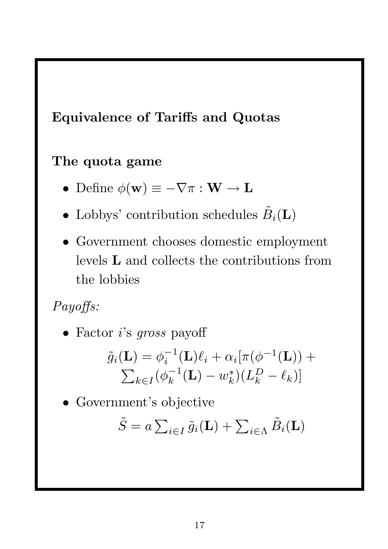#### Equivalence of Tariffs and Quotas

#### The quota game

- Define  $\phi(\mathbf{w}) \equiv -\nabla \pi : \mathbf{W} \to \mathbf{L}$
- Lobbys' contribution schedules  $\tilde{B}_i(\mathbf{L})$
- Government chooses domestic employment levels L and collects the contributions from the lobbies

## *Payoffs:*

• Factor i's *gross* payoff

$$
\tilde{g}_i(\mathbf{L}) = \phi_i^{-1}(\mathbf{L})\ell_i + \alpha_i[\pi(\phi^{-1}(\mathbf{L})) + \sum_{k \in I} (\phi_k^{-1}(\mathbf{L}) - w_k^*)(L_k^D - \ell_k)]
$$

• Government's objective

$$
\tilde{S} = a \sum_{i \in I} \tilde{g}_i(\mathbf{L}) + \sum_{i \in \Lambda} \tilde{B}_i(\mathbf{L})
$$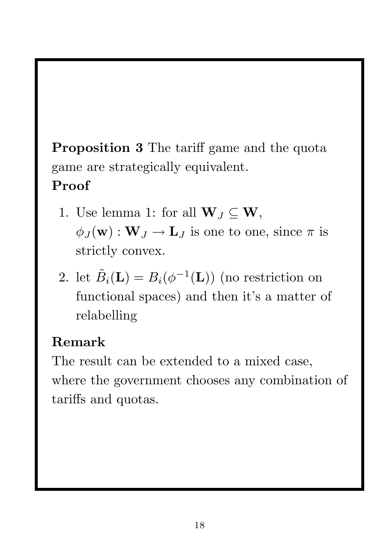Proposition 3 The tariff game and the quota game are strategically equivalent.

# Proof

- 1. Use lemma 1: for all  $\mathbf{W}_J \subseteq \mathbf{W}$ ,  $\phi_J(\mathbf{w}) : \mathbf{W}_J \to \mathbf{L}_J$  is one to one, since  $\pi$  is strictly convex.
- 2. let  $\tilde{B}_i(\mathbf{L}) = B_i(\phi^{-1}(\mathbf{L}))$  (no restriction on functional spaces) and then it's a matter of relabelling

# Remark

The result can be extended to a mixed case, where the government chooses any combination of tariffs and quotas.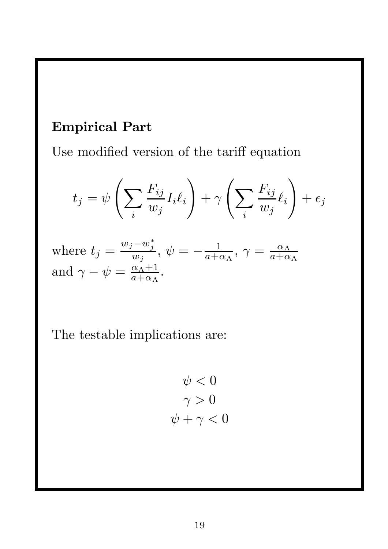### Empirical Part

Use modified version of the tariff equation

$$
t_j = \psi \left( \sum_i \frac{F_{ij}}{w_j} I_i \ell_i \right) + \gamma \left( \sum_i \frac{F_{ij}}{w_j} \ell_i \right) + \epsilon_j
$$

where 
$$
t_j = \frac{w_j - w_j^*}{w_j}
$$
,  $\psi = -\frac{1}{a + \alpha_\Lambda}$ ,  $\gamma = \frac{\alpha_\Lambda}{a + \alpha_\Lambda}$   
and  $\gamma - \psi = \frac{\alpha_\Lambda + 1}{a + \alpha_\Lambda}$ .

The testable implications are:

$$
\psi < 0
$$
\n
$$
\gamma > 0
$$
\n
$$
\psi + \gamma < 0
$$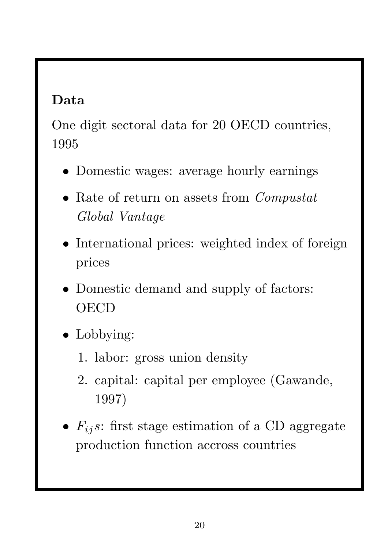## Data

One digit sectoral data for 20 OECD countries, 1995

- Domestic wages: average hourly earnings
- Rate of return on assets from *Compustat Global Vantage*
- International prices: weighted index of foreign prices
- Domestic demand and supply of factors: **OECD**
- Lobbying:
	- 1. labor: gross union density
	- 2. capital: capital per employee (Gawande, 1997)
- $F_{ij}$ s: first stage estimation of a CD aggregate production function accross countries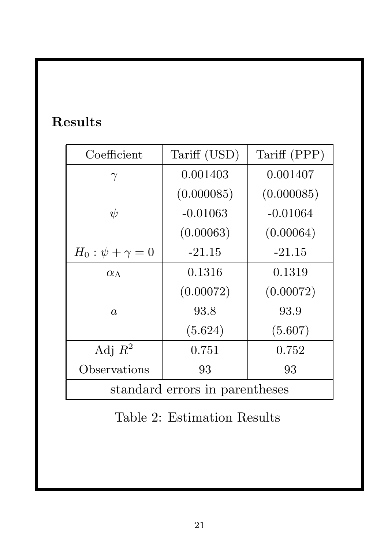# Results

| Coefficient                    | Tariff (USD) | Tariff (PPP) |  |
|--------------------------------|--------------|--------------|--|
| $\gamma$                       | 0.001403     | 0.001407     |  |
|                                | (0.000085)   | (0.000085)   |  |
| $\psi$                         | $-0.01063$   | $-0.01064$   |  |
|                                | (0.00063)    | (0.00064)    |  |
| $H_0: \psi + \gamma = 0$       | $-21.15$     | $-21.15$     |  |
| $\alpha_{\Lambda}$             | 0.1316       | 0.1319       |  |
|                                | (0.00072)    | (0.00072)    |  |
| $\overline{a}$                 | 93.8         | 93.9         |  |
|                                | (5.624)      | (5.607)      |  |
| Adj $R^2$                      | 0.751        | 0.752        |  |
| Observations                   | 93           | 93           |  |
| standard errors in parentheses |              |              |  |

Table 2: Estimation Results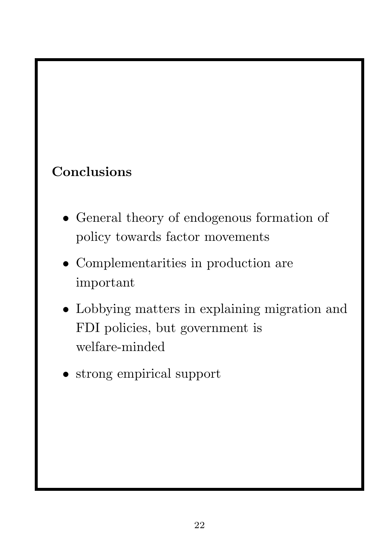# Conclusions

- General theory of endogenous formation of policy towards factor movements
- Complementarities in production are important
- Lobbying matters in explaining migration and FDI policies, but government is welfare-minded
- strong empirical support